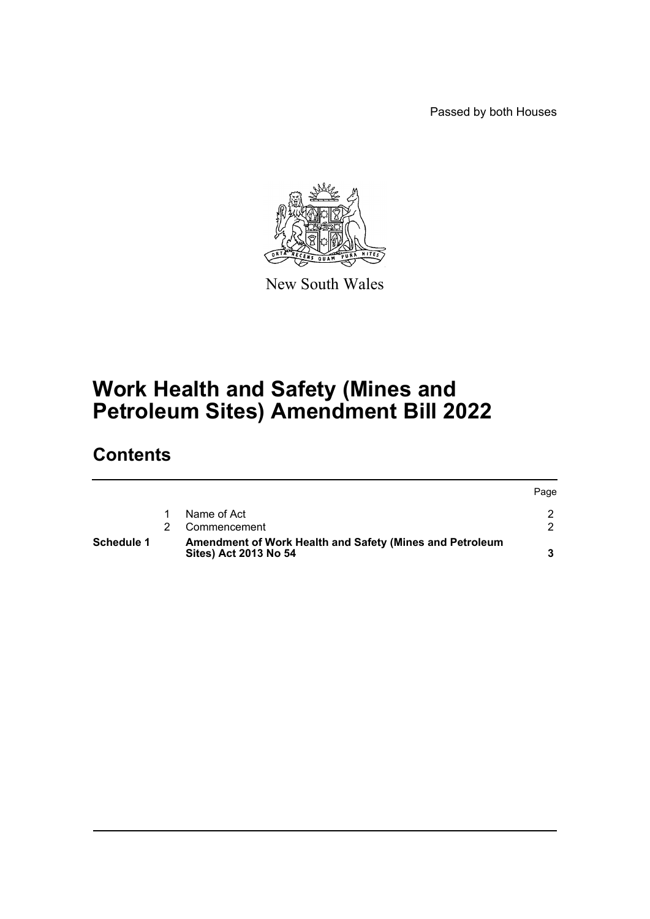Passed by both Houses



New South Wales

## **Work Health and Safety (Mines and Petroleum Sites) Amendment Bill 2022**

## **Contents**

| Schedule 1 | Amendment of Work Health and Safety (Mines and Petroleum<br>Sites) Act 2013 No 54 |      |
|------------|-----------------------------------------------------------------------------------|------|
|            | Commencement                                                                      |      |
|            | Name of Act                                                                       |      |
|            |                                                                                   | Page |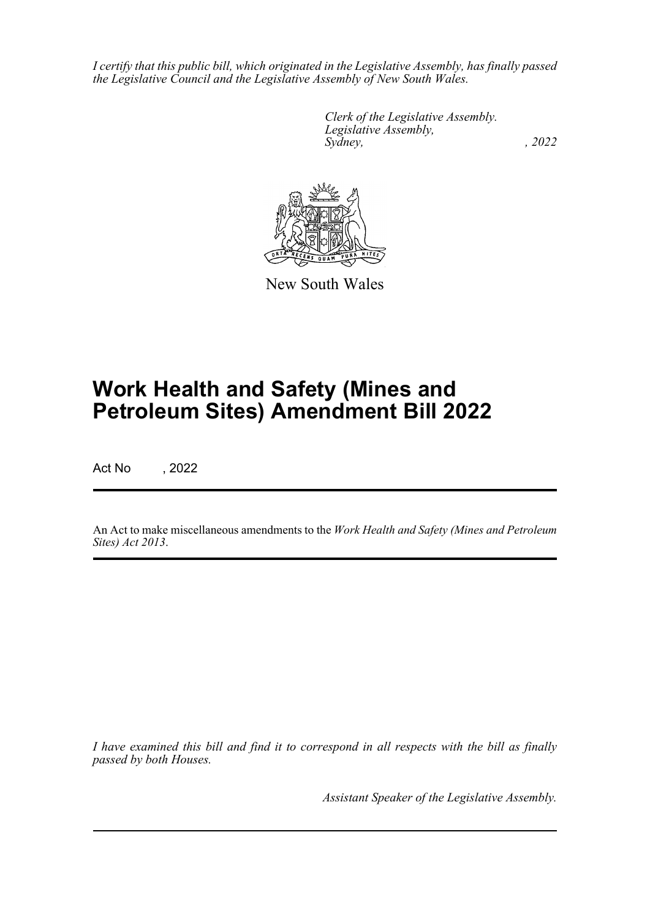*I certify that this public bill, which originated in the Legislative Assembly, has finally passed the Legislative Council and the Legislative Assembly of New South Wales.*

> *Clerk of the Legislative Assembly. Legislative Assembly, Sydney, , 2022*



New South Wales

# **Work Health and Safety (Mines and Petroleum Sites) Amendment Bill 2022**

Act No , 2022

An Act to make miscellaneous amendments to the *Work Health and Safety (Mines and Petroleum Sites) Act 2013*.

*I have examined this bill and find it to correspond in all respects with the bill as finally passed by both Houses.*

*Assistant Speaker of the Legislative Assembly.*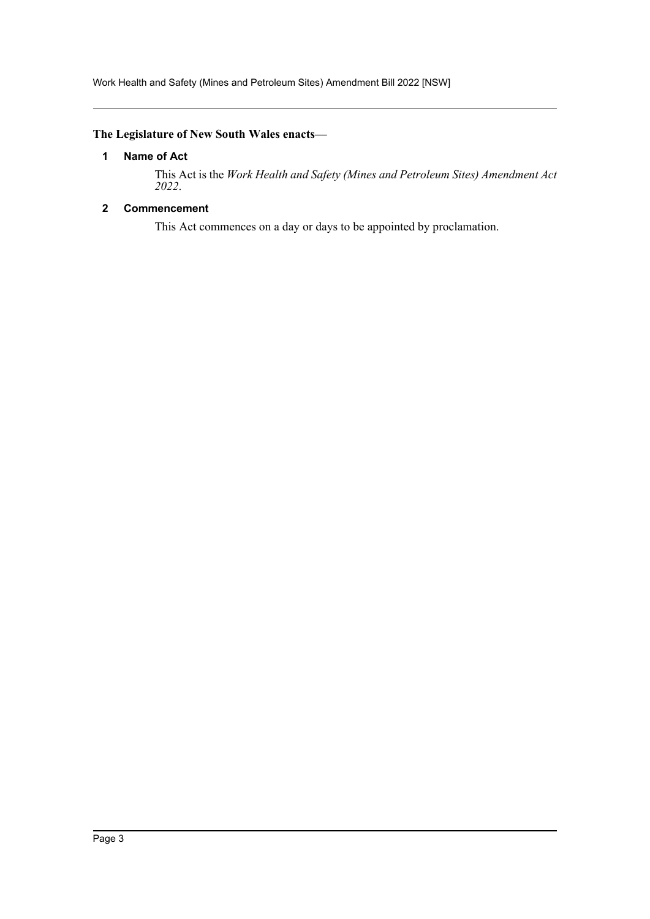## <span id="page-2-0"></span>**The Legislature of New South Wales enacts—**

## **1 Name of Act**

This Act is the *Work Health and Safety (Mines and Petroleum Sites) Amendment Act 2022*.

## <span id="page-2-1"></span>**2 Commencement**

This Act commences on a day or days to be appointed by proclamation.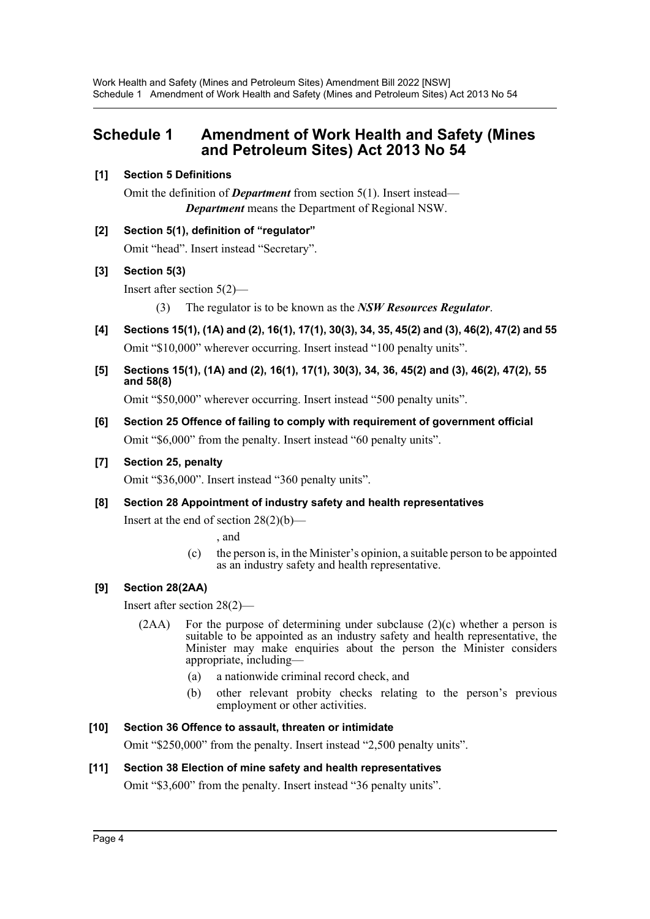## <span id="page-3-0"></span>**Schedule 1 Amendment of Work Health and Safety (Mines and Petroleum Sites) Act 2013 No 54**

## **[1] Section 5 Definitions**

Omit the definition of *Department* from section 5(1). Insert instead— *Department* means the Department of Regional NSW.

**[2] Section 5(1), definition of "regulator"**

Omit "head". Insert instead "Secretary".

## **[3] Section 5(3)**

Insert after section 5(2)—

- (3) The regulator is to be known as the *NSW Resources Regulator*.
- **[4] Sections 15(1), (1A) and (2), 16(1), 17(1), 30(3), 34, 35, 45(2) and (3), 46(2), 47(2) and 55** Omit "\$10,000" wherever occurring. Insert instead "100 penalty units".
- **[5] Sections 15(1), (1A) and (2), 16(1), 17(1), 30(3), 34, 36, 45(2) and (3), 46(2), 47(2), 55 and 58(8)**

Omit "\$50,000" wherever occurring. Insert instead "500 penalty units".

**[6] Section 25 Offence of failing to comply with requirement of government official** Omit "\$6,000" from the penalty. Insert instead "60 penalty units".

## **[7] Section 25, penalty**

Omit "\$36,000". Insert instead "360 penalty units".

**[8] Section 28 Appointment of industry safety and health representatives**

Insert at the end of section  $28(2)(b)$ —

, and

(c) the person is, in the Minister's opinion, a suitable person to be appointed as an industry safety and health representative.

## **[9] Section 28(2AA)**

Insert after section 28(2)—

- (2AA) For the purpose of determining under subclause (2)(c) whether a person is suitable to be appointed as an industry safety and health representative, the Minister may make enquiries about the person the Minister considers appropriate, including—
	- (a) a nationwide criminal record check, and
	- (b) other relevant probity checks relating to the person's previous employment or other activities.

## **[10] Section 36 Offence to assault, threaten or intimidate**

Omit "\$250,000" from the penalty. Insert instead "2,500 penalty units".

## **[11] Section 38 Election of mine safety and health representatives**

Omit "\$3,600" from the penalty. Insert instead "36 penalty units".